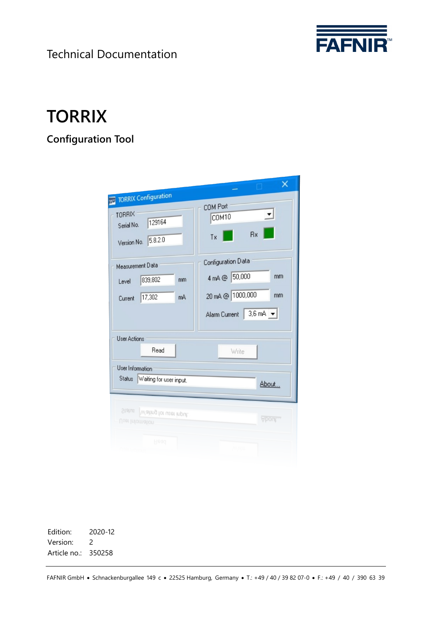Technical Documentation



# **TORRIX**

# **Configuration Tool**

|                                                          | $\Box$                                                  |
|----------------------------------------------------------|---------------------------------------------------------|
| <b>TORRIX Configuration</b><br>观                         |                                                         |
| TORRIX<br>129164<br>Serial No.<br>5,8.2.0<br>Version No. | <b>COM Port</b><br>COM <sub>10</sub><br><b>Rx</b><br>Tx |
| Measurement Data<br>839,802<br>mm                        | Configuration Data<br>4 mA @ 50,000<br>mm               |
| Level<br>17,302<br>mA.<br>Current                        | 20 mA @ 1000,000<br>mm                                  |
|                                                          | Alarm Current 3,6 mA v                                  |
| <b>User Actions</b><br>Read                              | Write                                                   |
| User Information                                         |                                                         |
| Waiting for user input.<br><b>Status</b>                 | About                                                   |
| Status Waiting for user input.<br>User Information       | About                                                   |
| Head                                                     | ANUG                                                    |

Edition: 2020-12 Version: 2 Article no.: 350258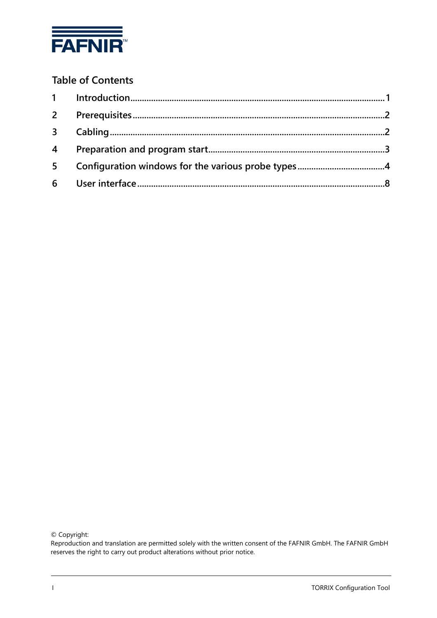

# **Table of Contents**

| $1 \quad$      |  |
|----------------|--|
| $2^{\circ}$    |  |
| 3 <sup>7</sup> |  |
| $\overline{4}$ |  |
| 5 <sup>1</sup> |  |
| 6              |  |

© Copyright:

Reproduction and translation are permitted solely with the written consent of the FAFNIR GmbH. The FAFNIR GmbH reserves the right to carry out product alterations without prior notice.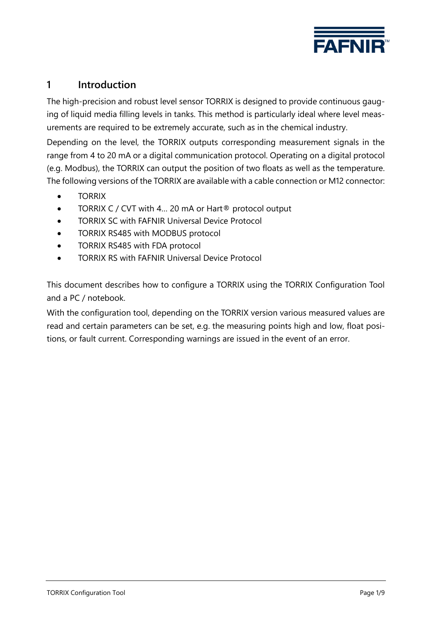

## <span id="page-2-0"></span>**1 Introduction**

The high-precision and robust level sensor TORRIX is designed to provide continuous gauging of liquid media filling levels in tanks. This method is particularly ideal where level measurements are required to be extremely accurate, such as in the chemical industry.

Depending on the level, the TORRIX outputs corresponding measurement signals in the range from 4 to 20 mA or a digital communication protocol. Operating on a digital protocol (e.g. Modbus), the TORRIX can output the position of two floats as well as the temperature. The following versions of the TORRIX are available with a cable connection or M12 connector:

- TORRIX
- TORRIX C / CVT with 4... 20 mA or Hart<sup>®</sup> protocol output
- TORRIX SC with FAFNIR Universal Device Protocol
- TORRIX RS485 with MODBUS protocol
- TORRIX RS485 with FDA protocol
- TORRIX RS with FAFNIR Universal Device Protocol

This document describes how to configure a TORRIX using the TORRIX Configuration Tool and a PC / notebook.

With the configuration tool, depending on the TORRIX version various measured values are read and certain parameters can be set, e.g. the measuring points high and low, float positions, or fault current. Corresponding warnings are issued in the event of an error.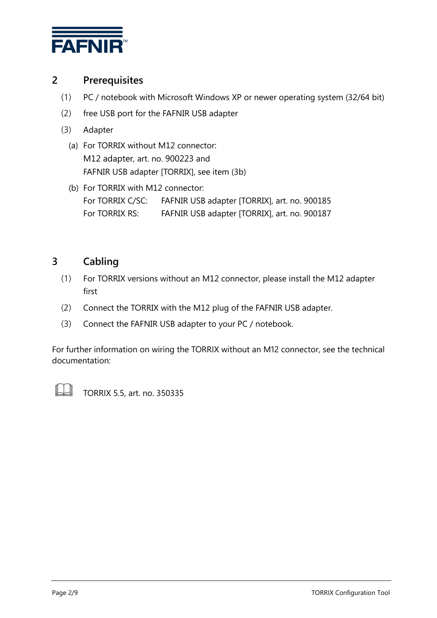

## <span id="page-3-0"></span>**2 Prerequisites**

- (1) PC / notebook with Microsoft Windows XP or newer operating system (32/64 bit)
- (2) free USB port for the FAFNIR USB adapter
- (3) Adapter
	- (a) For TORRIX without M12 connector: M12 adapter, art. no. 900223 and FAFNIR USB adapter [TORRIX], see item (3b)
	- (b) For TORRIX with M12 connector: For TORRIX C/SC: FAFNIR USB adapter [TORRIX], art. no. 900185 For TORRIX RS: FAFNIR USB adapter [TORRIX], art. no. 900187

## <span id="page-3-1"></span>**3 Cabling**

- (1) For TORRIX versions without an M12 connector, please install the M12 adapter first
- (2) Connect the TORRIX with the M12 plug of the FAFNIR USB adapter.
- (3) Connect the FAFNIR USB adapter to your PC / notebook.

For further information on wiring the TORRIX without an M12 connector, see the technical documentation:



TORRIX 5.5, art. no. 350335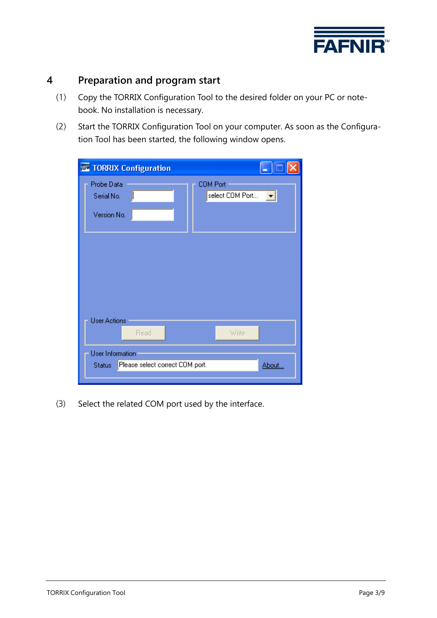

# <span id="page-4-0"></span>**4 Preparation and program start**

- (1) Copy the TORRIX Configuration Tool to the desired folder on your PC or notebook. No installation is necessary.
- (2) Start the TORRIX Configuration Tool on your computer. As soon as the Configuration Tool has been started, the following window opens.

| TORRIX Configuration                                           |                                    |
|----------------------------------------------------------------|------------------------------------|
| Probe Data<br>Serial No.<br>Version No.                        | <b>COM Port</b><br>select COM Port |
|                                                                |                                    |
| <b>User Actions</b><br>Read                                    | Write                              |
| User Information<br>Please select correct COM port.<br>Status: | About                              |

(3) Select the related COM port used by the interface.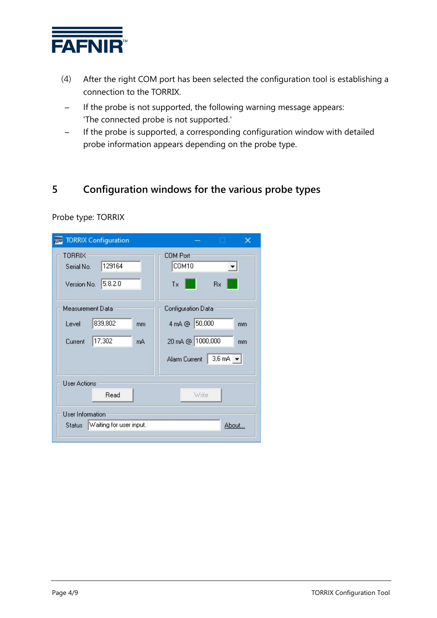

- (4) After the right COM port has been selected the configuration tool is establishing a connection to the TORRIX.
- − If the probe is not supported, the following warning message appears: 'The connected probe is not supported.'
- − If the probe is supported, a corresponding configuration window with detailed probe information appears depending on the probe type.

# <span id="page-5-0"></span>**5 Configuration windows for the various probe types**

| <b>TORRIX Configuration</b>                                                                                   |                                                                                               |  |  |
|---------------------------------------------------------------------------------------------------------------|-----------------------------------------------------------------------------------------------|--|--|
| TORRIX<br>129164<br>Serial No.<br>5.8.2.0<br>Version No.                                                      | <b>COM Port</b><br>COM10<br>Tx<br><b>Bx</b>                                                   |  |  |
| Measurement Data<br>839,802<br>Level<br>mm<br>17,302<br>Current<br>mÁ                                         | Configuration Data<br>4 mA @ 50,000<br>mm<br>20 mA @ 1000,000<br>mm<br>Alarm Current 3,6 mA v |  |  |
| <b>User Actions</b><br>Read<br>Write<br>User Information<br>Waiting for user input.<br><b>Status</b><br>About |                                                                                               |  |  |

Probe type: TORRIX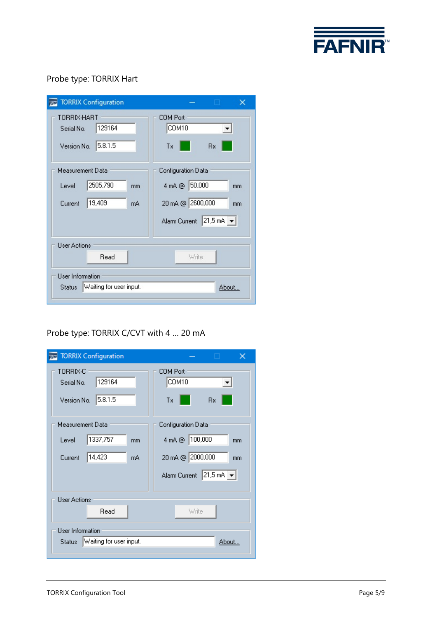

# Probe type: TORRIX Hart

| <b>TORRIX Configuration</b>                                   | n a s<br>×                                                                 |  |  |
|---------------------------------------------------------------|----------------------------------------------------------------------------|--|--|
| TORRIX-HART<br>129164<br>Serial No.<br>5.8.1.5<br>Version No. | COM Port<br>COM10<br>Tx<br><b>Bx</b>                                       |  |  |
| Measurement Data                                              | Configuration Data                                                         |  |  |
| 2505,790<br>Level<br>mm                                       | 4 mA @ 50,000<br>mm                                                        |  |  |
| 19,409<br>Current<br>mA.                                      | 20 mA @ 2600,000<br>mm<br>$ 21.5 \text{ mA} \cdot \cdot $<br>Alarm Current |  |  |
| <b>User Actions</b><br>Read<br>Write                          |                                                                            |  |  |
| User Information<br>Waiting for user input.<br><b>Status</b>  | About                                                                      |  |  |

## Probe type: TORRIX C/CVT with 4 … 20 mA

| <b>TORRIX Configuration</b>                                  | n<br>×                        |
|--------------------------------------------------------------|-------------------------------|
| TORRIX-C<br>129164<br>Serial No.<br>15.8.1.5<br>Version No.  | COM Port<br>COM10<br>Τx<br>Вx |
| Measurement Data                                             | Configuration Data            |
| 1337,757<br>Level<br>mm                                      | 4 mA @ 100,000<br>mm          |
| 14,423<br>Current<br>mA                                      | 20 mA @ 2000,000<br>mm        |
|                                                              | Alarm Current 21,5 mA v       |
| <b>User Actions</b>                                          |                               |
| Read                                                         | Write                         |
| User Information<br>Waiting for user input.<br><b>Status</b> | About                         |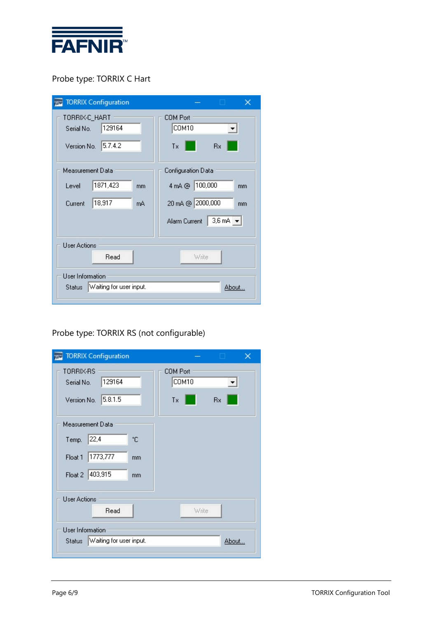

Probe type: TORRIX C Hart

| <b>TORRIX Configuration</b>                                     | n.<br>×                                         |  |  |
|-----------------------------------------------------------------|-------------------------------------------------|--|--|
| TORRIX-C_HART<br>129164<br>Serial No.<br>5.7.4.2<br>Version No. | <b>COM Port</b><br>COM10<br>Tx<br><b>Bx</b>     |  |  |
| Measurement Data                                                | Configuration Data                              |  |  |
| 1871,423<br>Level<br>mm                                         | 4 mA @ 100,000<br>mm                            |  |  |
| 18,917<br>Current<br>mA.                                        | 20 mA @ 2000,000<br>mm                          |  |  |
|                                                                 | $3.6 \text{ mA}$ $\rightarrow$<br>Alarm Current |  |  |
| <b>User Actions</b><br>Read<br>Write                            |                                                 |  |  |
| User Information<br>Waiting for user input.<br><b>Status</b>    | About                                           |  |  |

Probe type: TORRIX RS (not configurable)

| <b>TORRIX Configuration</b>                                 |    |                                |       |           | × |
|-------------------------------------------------------------|----|--------------------------------|-------|-----------|---|
| TORRIX-RS<br>129164<br>Serial No.<br>5.8.1.5<br>Version No. |    | <b>COM Port</b><br>COM10<br>Tx |       | <b>Bx</b> |   |
| Measurement Data                                            |    |                                |       |           |   |
| 22,4<br>Temp.                                               | ۰c |                                |       |           |   |
| 1773,777<br>Float <sub>1</sub>                              | mm |                                |       |           |   |
| 403,915<br>Float 2                                          | mm |                                |       |           |   |
| <b>User Actions</b><br>Read                                 |    |                                | Write |           |   |
| User Information                                            |    |                                |       |           |   |
| Waiting for user input.<br><b>Status</b>                    |    |                                |       | About     |   |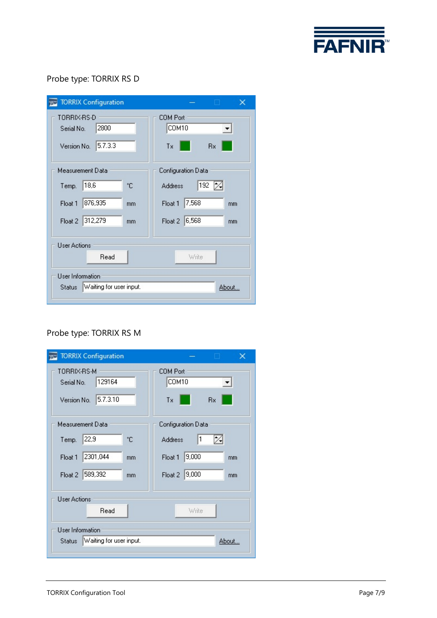

# Probe type: TORRIX RS D

| <b>TORRIX Configuration</b>                                           | n.<br>×                                     |  |  |
|-----------------------------------------------------------------------|---------------------------------------------|--|--|
| TORRIX-RS-D<br>2800<br>Serial No.<br>5.7.3.3<br>Version No.           | <b>COM Port</b><br>COM10<br>Tx<br><b>Bx</b> |  |  |
| Measurement Data                                                      | Configuration Data                          |  |  |
| 18,6<br>۰c<br>Temp.                                                   | 192<br>Α<br><b>Address</b>                  |  |  |
| 876,935<br>Float 1<br>mm                                              | 7,568<br>Float 1<br>mm                      |  |  |
| 312,279<br>Float 2<br>mm                                              | 6,568<br>Float 2<br>mm                      |  |  |
| <b>User Actions</b><br>Read<br>Write                                  |                                             |  |  |
| User Information<br>Waiting for user input.<br><b>Status</b><br>About |                                             |  |  |

## Probe type: TORRIX RS M

| <b>TORRIX Configuration</b>                                           | ×                                           |  |  |  |
|-----------------------------------------------------------------------|---------------------------------------------|--|--|--|
| TORRIX-RS-M<br>129164<br>Serial No.<br>5.7.3.10<br>Version No.        | <b>COM Port</b><br>COM10<br>Tx<br><b>Bx</b> |  |  |  |
| Measurement Data                                                      | Configuration Data                          |  |  |  |
| 22,9<br>۰c<br>Temp.                                                   | $\overline{1}$<br>Α<br><b>Address</b>       |  |  |  |
| 2301,044<br>Float 1<br>mm                                             | 9,000<br>Float 1<br>mm                      |  |  |  |
| 589,392<br>Float 2<br>mm                                              | 9,000<br>Float 2<br>mm.                     |  |  |  |
| <b>User Actions</b><br>Read<br>Write                                  |                                             |  |  |  |
| User Information<br>Waiting for user input.<br><b>Status</b><br>About |                                             |  |  |  |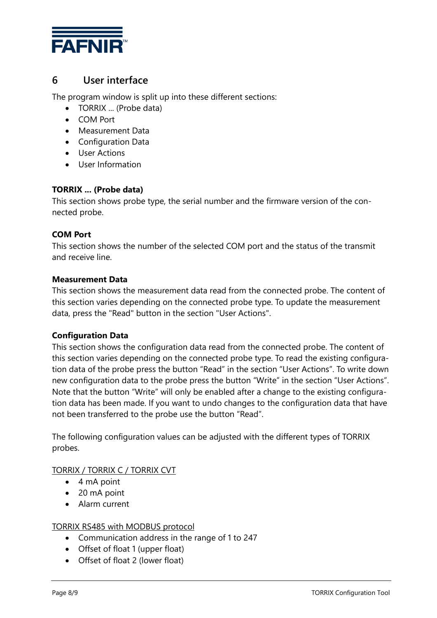

# <span id="page-9-0"></span>**6 User interface**

The program window is split up into these different sections:

- TORRIX ... (Probe data)
- COM Port
- Measurement Data
- Configuration Data
- User Actions
- User Information

#### **TORRIX ... (Probe data)**

This section shows probe type, the serial number and the firmware version of the connected probe.

#### **COM Port**

This section shows the number of the selected COM port and the status of the transmit and receive line.

#### **Measurement Data**

This section shows the measurement data read from the connected probe. The content of this section varies depending on the connected probe type. To update the measurement data, press the "Read" button in the section "User Actions".

#### **Configuration Data**

This section shows the configuration data read from the connected probe. The content of this section varies depending on the connected probe type. To read the existing configuration data of the probe press the button "Read" in the section "User Actions". To write down new configuration data to the probe press the button "Write" in the section "User Actions". Note that the button "Write" will only be enabled after a change to the existing configuration data has been made. If you want to undo changes to the configuration data that have not been transferred to the probe use the button "Read".

The following configuration values can be adjusted with the different types of TORRIX probes.

#### TORRIX / TORRIX C / TORRIX CVT

- 4 mA point
- 20 mA point
- Alarm current

#### TORRIX RS485 with MODBUS protocol

- Communication address in the range of 1 to 247
- Offset of float 1 (upper float)
- Offset of float 2 (lower float)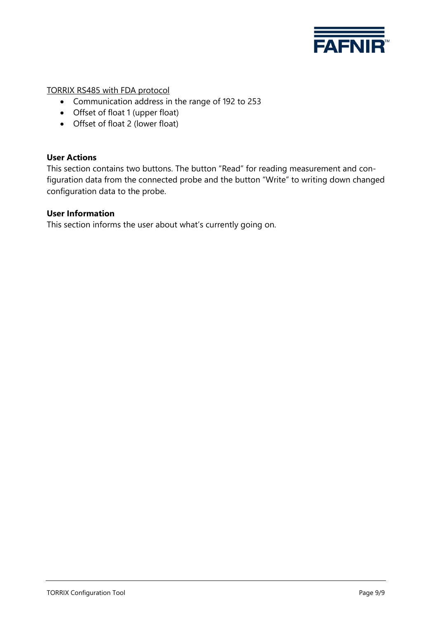

TORRIX RS485 with FDA protocol

- Communication address in the range of 192 to 253
- Offset of float 1 (upper float)
- Offset of float 2 (lower float)

### **User Actions**

This section contains two buttons. The button "Read" for reading measurement and configuration data from the connected probe and the button "Write" to writing down changed configuration data to the probe.

#### **User Information**

This section informs the user about what's currently going on.